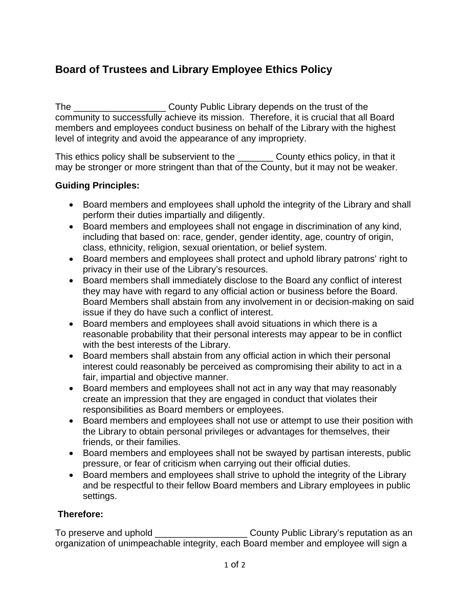# **Board of Trustees and Library Employee Ethics Policy**

The The County Public Library depends on the trust of the community to successfully achieve its mission. Therefore, it is crucial that all Board members and employees conduct business on behalf of the Library with the highest level of integrity and avoid the appearance of any impropriety.

This ethics policy shall be subservient to the County ethics policy, in that it may be stronger or more stringent than that of the County, but it may not be weaker.

## **Guiding Principles:**

- Board members and employees shall uphold the integrity of the Library and shall perform their duties impartially and diligently.
- Board members and employees shall not engage in discrimination of any kind, including that based on: race, gender, gender identity, age, country of origin, class, ethnicity, religion, sexual orientation, or belief system.
- Board members and employees shall protect and uphold library patrons' right to privacy in their use of the Library's resources.
- Board members shall immediately disclose to the Board any conflict of interest they may have with regard to any official action or business before the Board. Board Members shall abstain from any involvement in or decision-making on said issue if they do have such a conflict of interest.
- Board members and employees shall avoid situations in which there is a reasonable probability that their personal interests may appear to be in conflict with the best interests of the Library.
- Board members shall abstain from any official action in which their personal interest could reasonably be perceived as compromising their ability to act in a fair, impartial and objective manner.
- Board members and employees shall not act in any way that may reasonably create an impression that they are engaged in conduct that violates their responsibilities as Board members or employees.
- Board members and employees shall not use or attempt to use their position with the Library to obtain personal privileges or advantages for themselves, their friends, or their families.
- Board members and employees shall not be swayed by partisan interests, public pressure, or fear of criticism when carrying out their official duties.
- Board members and employees shall strive to uphold the integrity of the Library and be respectful to their fellow Board members and Library employees in public settings.

## **Therefore:**

To preserve and uphold **To preserve and uphold** County Public Library's reputation as an organization of unimpeachable integrity, each Board member and employee will sign a